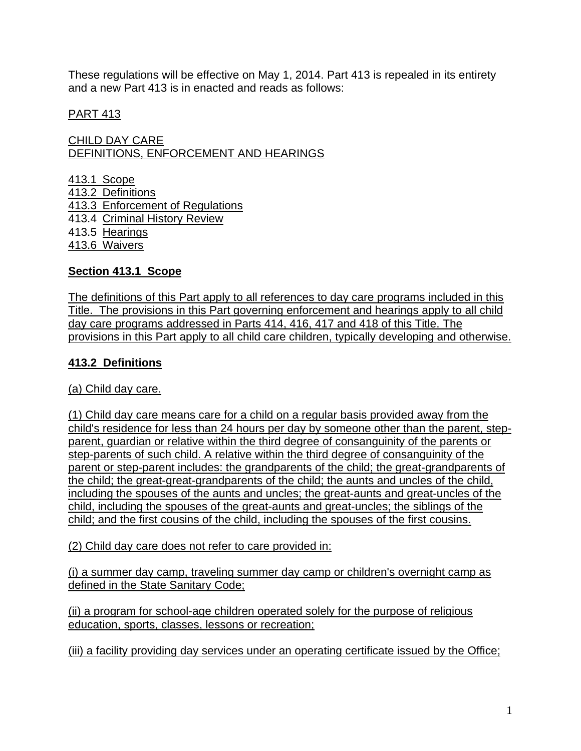These regulations will be effective on May 1, 2014. Part 413 is repealed in its entirety and a new Part 413 is in enacted and reads as follows:

### PART 413

CHILD DAY CARE DEFINITIONS, ENFORCEMENT AND HEARINGS

413.1 Scope 413.2 Definitions 413.3 Enforcement of Regulations 413.4 Criminal History Review 413.5 Hearings 413.6 Waivers

### **Section 413.1 Scope**

The definitions of this Part apply to all references to day care programs included in this Title. The provisions in this Part governing enforcement and hearings apply to all child day care programs addressed in Parts 414, 416, 417 and 418 of this Title. The provisions in this Part apply to all child care children, typically developing and otherwise.

### **413.2 Definitions**

(a) Child day care.

(1) Child day care means care for a child on a regular basis provided away from the child's residence for less than 24 hours per day by someone other than the parent, stepparent, guardian or relative within the third degree of consanguinity of the parents or step-parents of such child. A relative within the third degree of consanguinity of the parent or step-parent includes: the grandparents of the child; the great-grandparents of the child; the great-great-grandparents of the child; the aunts and uncles of the child, including the spouses of the aunts and uncles; the great-aunts and great-uncles of the child, including the spouses of the great-aunts and great-uncles; the siblings of the child; and the first cousins of the child, including the spouses of the first cousins.

(2) Child day care does not refer to care provided in:

(i) a summer day camp, traveling summer day camp or children's overnight camp as defined in the State Sanitary Code;

(ii) a program for school-age children operated solely for the purpose of religious education, sports, classes, lessons or recreation;

(iii) a facility providing day services under an operating certificate issued by the Office;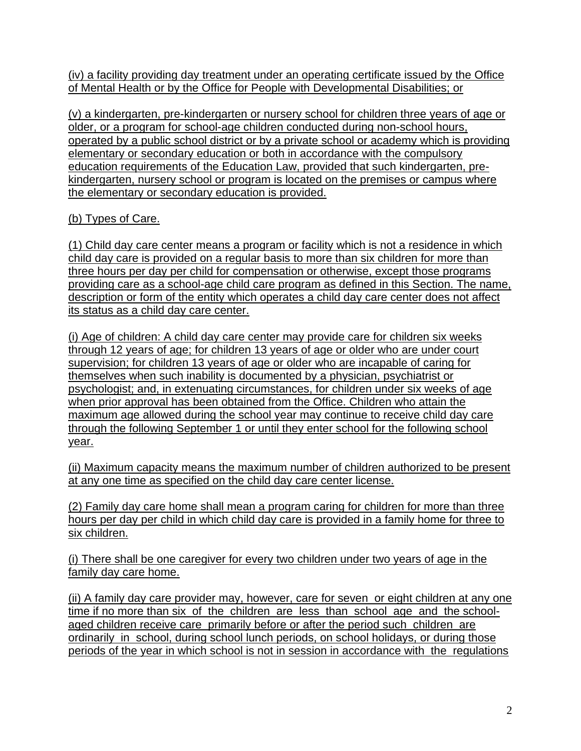(iv) a facility providing day treatment under an operating certificate issued by the Office of Mental Health or by the Office for People with Developmental Disabilities; or

(v) a kindergarten, pre-kindergarten or nursery school for children three years of age or older, or a program for school-age children conducted during non-school hours, operated by a public school district or by a private school or academy which is providing elementary or secondary education or both in accordance with the compulsory education requirements of the Education Law, provided that such kindergarten, prekindergarten, nursery school or program is located on the premises or campus where the elementary or secondary education is provided.

# (b) Types of Care.

(1) Child day care center means a program or facility which is not a residence in which child day care is provided on a regular basis to more than six children for more than three hours per day per child for compensation or otherwise, except those programs providing care as a school-age child care program as defined in this Section. The name, description or form of the entity which operates a child day care center does not affect its status as a child day care center.

(i) Age of children: A child day care center may provide care for children six weeks through 12 years of age; for children 13 years of age or older who are under court supervision; for children 13 years of age or older who are incapable of caring for themselves when such inability is documented by a physician, psychiatrist or psychologist; and, in extenuating circumstances, for children under six weeks of age when prior approval has been obtained from the Office. Children who attain the maximum age allowed during the school year may continue to receive child day care through the following September 1 or until they enter school for the following school year.

(ii) Maximum capacity means the maximum number of children authorized to be present at any one time as specified on the child day care center license.

(2) Family day care home shall mean a program caring for children for more than three hours per day per child in which child day care is provided in a family home for three to six children.

(i) There shall be one caregiver for every two children under two years of age in the family day care home.

(ii) A family day care provider may, however, care for seven or eight children at any one time if no more than six of the children are less than school age and the schoolaged children receive care primarily before or after the period such children are ordinarily in school, during school lunch periods, on school holidays, or during those periods of the year in which school is not in session in accordance with the regulations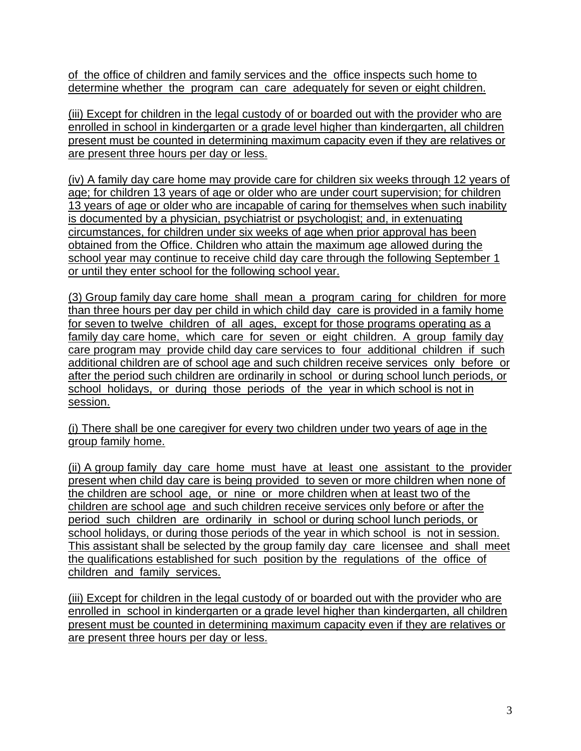of the office of children and family services and the office inspects such home to determine whether the program can care adequately for seven or eight children.

(iii) Except for children in the legal custody of or boarded out with the provider who are enrolled in school in kindergarten or a grade level higher than kindergarten, all children present must be counted in determining maximum capacity even if they are relatives or are present three hours per day or less.

(iv) A family day care home may provide care for children six weeks through 12 years of age; for children 13 years of age or older who are under court supervision; for children 13 years of age or older who are incapable of caring for themselves when such inability is documented by a physician, psychiatrist or psychologist; and, in extenuating circumstances, for children under six weeks of age when prior approval has been obtained from the Office. Children who attain the maximum age allowed during the school year may continue to receive child day care through the following September 1 or until they enter school for the following school year.

(3) Group family day care home shall mean a program caring for children for more than three hours per day per child in which child day care is provided in a family home for seven to twelve children of all ages, except for those programs operating as a family day care home, which care for seven or eight children. A group family day care program may provide child day care services to four additional children if such additional children are of school age and such children receive services only before or after the period such children are ordinarily in school or during school lunch periods, or school holidays, or during those periods of the year in which school is not in session.

(i) There shall be one caregiver for every two children under two years of age in the group family home.

(ii) A group family day care home must have at least one assistant to the provider present when child day care is being provided to seven or more children when none of the children are school age, or nine or more children when at least two of the children are school age and such children receive services only before or after the period such children are ordinarily in school or during school lunch periods, or school holidays, or during those periods of the year in which school is not in session. This assistant shall be selected by the group family day care licensee and shall meet the qualifications established for such position by the regulations of the office of children and family services.

(iii) Except for children in the legal custody of or boarded out with the provider who are enrolled in school in kindergarten or a grade level higher than kindergarten, all children present must be counted in determining maximum capacity even if they are relatives or are present three hours per day or less.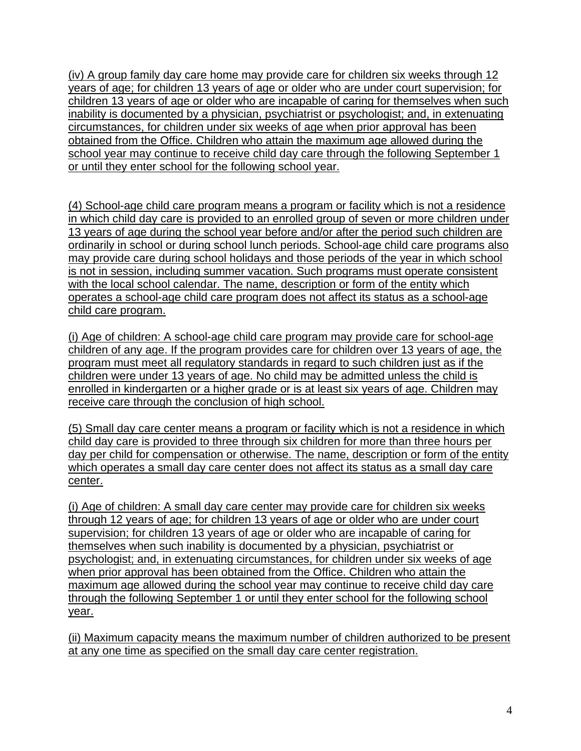(iv) A group family day care home may provide care for children six weeks through 12 years of age; for children 13 years of age or older who are under court supervision; for children 13 years of age or older who are incapable of caring for themselves when such inability is documented by a physician, psychiatrist or psychologist; and, in extenuating circumstances, for children under six weeks of age when prior approval has been obtained from the Office. Children who attain the maximum age allowed during the school year may continue to receive child day care through the following September 1 or until they enter school for the following school year.

(4) School-age child care program means a program or facility which is not a residence in which child day care is provided to an enrolled group of seven or more children under 13 years of age during the school year before and/or after the period such children are ordinarily in school or during school lunch periods. School-age child care programs also may provide care during school holidays and those periods of the year in which school is not in session, including summer vacation. Such programs must operate consistent with the local school calendar. The name, description or form of the entity which operates a school-age child care program does not affect its status as a school-age child care program.

(i) Age of children: A school-age child care program may provide care for school-age children of any age. If the program provides care for children over 13 years of age, the program must meet all regulatory standards in regard to such children just as if the children were under 13 years of age. No child may be admitted unless the child is enrolled in kindergarten or a higher grade or is at least six years of age. Children may receive care through the conclusion of high school.

(5) Small day care center means a program or facility which is not a residence in which child day care is provided to three through six children for more than three hours per day per child for compensation or otherwise. The name, description or form of the entity which operates a small day care center does not affect its status as a small day care center.

(i) Age of children: A small day care center may provide care for children six weeks through 12 years of age; for children 13 years of age or older who are under court supervision; for children 13 years of age or older who are incapable of caring for themselves when such inability is documented by a physician, psychiatrist or psychologist; and, in extenuating circumstances, for children under six weeks of age when prior approval has been obtained from the Office. Children who attain the maximum age allowed during the school year may continue to receive child day care through the following September 1 or until they enter school for the following school year.

(ii) Maximum capacity means the maximum number of children authorized to be present at any one time as specified on the small day care center registration.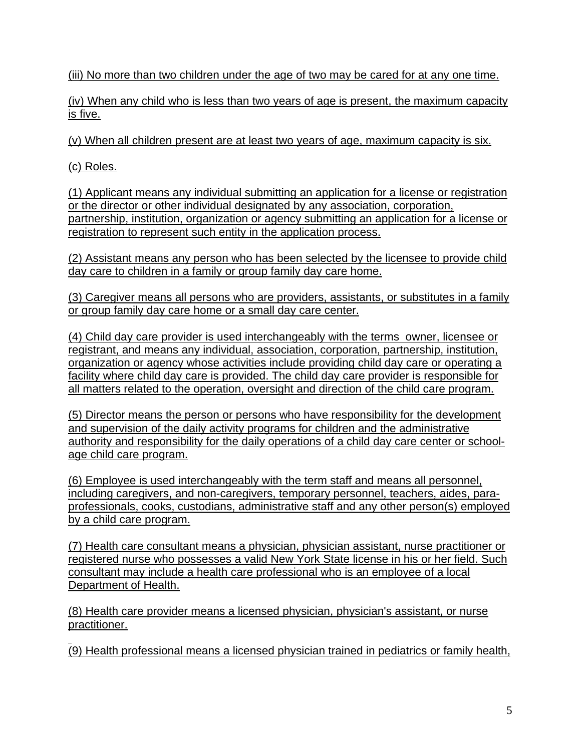(iii) No more than two children under the age of two may be cared for at any one time.

(iv) When any child who is less than two years of age is present, the maximum capacity is five.

(v) When all children present are at least two years of age, maximum capacity is six.

(c) Roles.

(1) Applicant means any individual submitting an application for a license or registration or the director or other individual designated by any association, corporation, partnership, institution, organization or agency submitting an application for a license or registration to represent such entity in the application process.

(2) Assistant means any person who has been selected by the licensee to provide child day care to children in a family or group family day care home.

(3) Caregiver means all persons who are providers, assistants, or substitutes in a family or group family day care home or a small day care center.

(4) Child day care provider is used interchangeably with the terms owner, licensee or registrant, and means any individual, association, corporation, partnership, institution, organization or agency whose activities include providing child day care or operating a facility where child day care is provided. The child day care provider is responsible for all matters related to the operation, oversight and direction of the child care program.

(5) Director means the person or persons who have responsibility for the development and supervision of the daily activity programs for children and the administrative authority and responsibility for the daily operations of a child day care center or schoolage child care program.

(6) Employee is used interchangeably with the term staff and means all personnel, including caregivers, and non-caregivers, temporary personnel, teachers, aides, paraprofessionals, cooks, custodians, administrative staff and any other person(s) employed by a child care program.

(7) Health care consultant means a physician, physician assistant, nurse practitioner or registered nurse who possesses a valid New York State license in his or her field. Such consultant may include a health care professional who is an employee of a local Department of Health.

(8) Health care provider means a licensed physician, physician's assistant, or nurse practitioner.

(9) Health professional means a licensed physician trained in pediatrics or family health,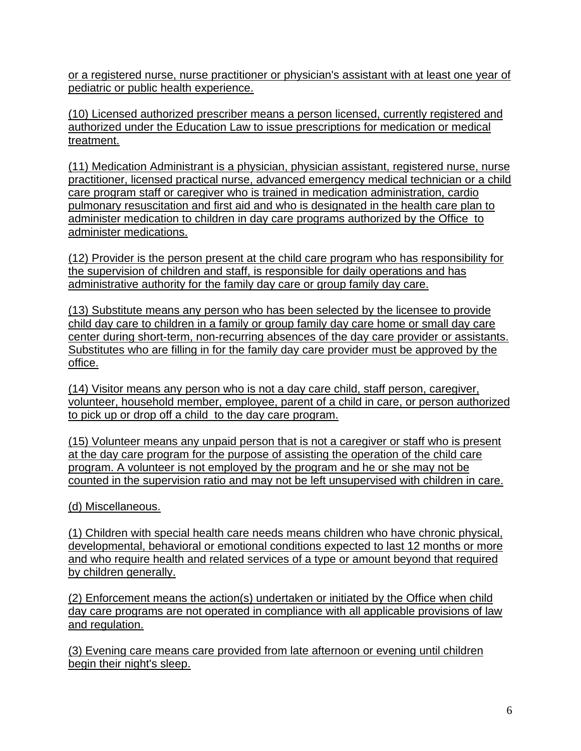or a registered nurse, nurse practitioner or physician's assistant with at least one year of pediatric or public health experience.

(10) Licensed authorized prescriber means a person licensed, currently registered and authorized under the Education Law to issue prescriptions for medication or medical treatment.

(11) Medication Administrant is a physician, physician assistant, registered nurse, nurse practitioner, licensed practical nurse, advanced emergency medical technician or a child care program staff or caregiver who is trained in medication administration, cardio pulmonary resuscitation and first aid and who is designated in the health care plan to administer medication to children in day care programs authorized by the Office to administer medications.

(12) Provider is the person present at the child care program who has responsibility for the supervision of children and staff, is responsible for daily operations and has administrative authority for the family day care or group family day care.

(13) Substitute means any person who has been selected by the licensee to provide child day care to children in a family or group family day care home or small day care center during short-term, non-recurring absences of the day care provider or assistants. Substitutes who are filling in for the family day care provider must be approved by the office.

(14) Visitor means any person who is not a day care child, staff person, caregiver, volunteer, household member, employee, parent of a child in care, or person authorized to pick up or drop off a child to the day care program.

(15) Volunteer means any unpaid person that is not a caregiver or staff who is present at the day care program for the purpose of assisting the operation of the child care program. A volunteer is not employed by the program and he or she may not be counted in the supervision ratio and may not be left unsupervised with children in care.

(d) Miscellaneous.

(1) Children with special health care needs means children who have chronic physical, developmental, behavioral or emotional conditions expected to last 12 months or more and who require health and related services of a type or amount beyond that required by children generally.

(2) Enforcement means the action(s) undertaken or initiated by the Office when child day care programs are not operated in compliance with all applicable provisions of law and regulation.

(3) Evening care means care provided from late afternoon or evening until children begin their night's sleep.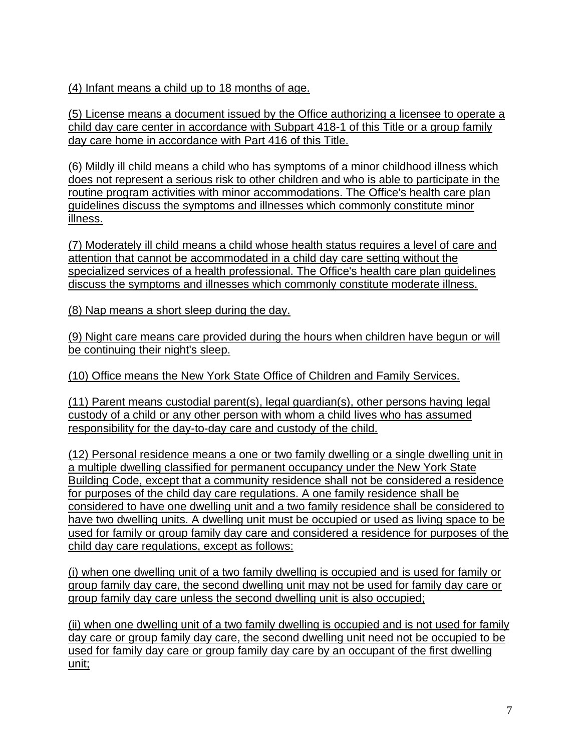(4) Infant means a child up to 18 months of age.

(5) License means a document issued by the Office authorizing a licensee to operate a child day care center in accordance with Subpart 418-1 of this Title or a group family day care home in accordance with Part 416 of this Title.

(6) Mildly ill child means a child who has symptoms of a minor childhood illness which does not represent a serious risk to other children and who is able to participate in the routine program activities with minor accommodations. The Office's health care plan guidelines discuss the symptoms and illnesses which commonly constitute minor illness.

(7) Moderately ill child means a child whose health status requires a level of care and attention that cannot be accommodated in a child day care setting without the specialized services of a health professional. The Office's health care plan guidelines discuss the symptoms and illnesses which commonly constitute moderate illness.

(8) Nap means a short sleep during the day.

(9) Night care means care provided during the hours when children have begun or will be continuing their night's sleep.

(10) Office means the New York State Office of Children and Family Services.

(11) Parent means custodial parent(s), legal guardian(s), other persons having legal custody of a child or any other person with whom a child lives who has assumed responsibility for the day-to-day care and custody of the child.

(12) Personal residence means a one or two family dwelling or a single dwelling unit in a multiple dwelling classified for permanent occupancy under the New York State Building Code, except that a community residence shall not be considered a residence for purposes of the child day care regulations. A one family residence shall be considered to have one dwelling unit and a two family residence shall be considered to have two dwelling units. A dwelling unit must be occupied or used as living space to be used for family or group family day care and considered a residence for purposes of the child day care regulations, except as follows:

(i) when one dwelling unit of a two family dwelling is occupied and is used for family or group family day care, the second dwelling unit may not be used for family day care or group family day care unless the second dwelling unit is also occupied;

(ii) when one dwelling unit of a two family dwelling is occupied and is not used for family day care or group family day care, the second dwelling unit need not be occupied to be used for family day care or group family day care by an occupant of the first dwelling unit;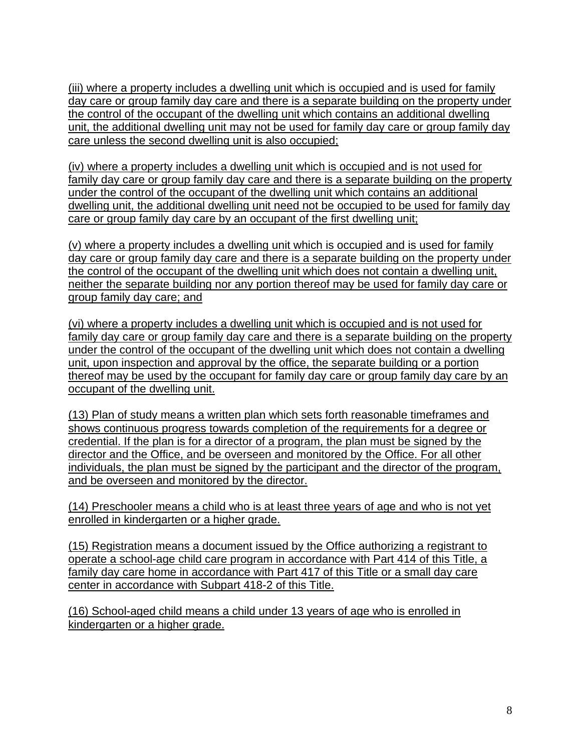(iii) where a property includes a dwelling unit which is occupied and is used for family day care or group family day care and there is a separate building on the property under the control of the occupant of the dwelling unit which contains an additional dwelling unit, the additional dwelling unit may not be used for family day care or group family day care unless the second dwelling unit is also occupied;

(iv) where a property includes a dwelling unit which is occupied and is not used for family day care or group family day care and there is a separate building on the property under the control of the occupant of the dwelling unit which contains an additional dwelling unit, the additional dwelling unit need not be occupied to be used for family day care or group family day care by an occupant of the first dwelling unit;

(v) where a property includes a dwelling unit which is occupied and is used for family day care or group family day care and there is a separate building on the property under the control of the occupant of the dwelling unit which does not contain a dwelling unit, neither the separate building nor any portion thereof may be used for family day care or group family day care; and

(vi) where a property includes a dwelling unit which is occupied and is not used for family day care or group family day care and there is a separate building on the property under the control of the occupant of the dwelling unit which does not contain a dwelling unit, upon inspection and approval by the office, the separate building or a portion thereof may be used by the occupant for family day care or group family day care by an occupant of the dwelling unit.

(13) Plan of study means a written plan which sets forth reasonable timeframes and shows continuous progress towards completion of the requirements for a degree or credential. If the plan is for a director of a program, the plan must be signed by the director and the Office, and be overseen and monitored by the Office. For all other individuals, the plan must be signed by the participant and the director of the program, and be overseen and monitored by the director.

(14) Preschooler means a child who is at least three years of age and who is not yet enrolled in kindergarten or a higher grade.

(15) Registration means a document issued by the Office authorizing a registrant to operate a school-age child care program in accordance with Part 414 of this Title, a family day care home in accordance with Part 417 of this Title or a small day care center in accordance with Subpart 418-2 of this Title.

(16) School-aged child means a child under 13 years of age who is enrolled in kindergarten or a higher grade.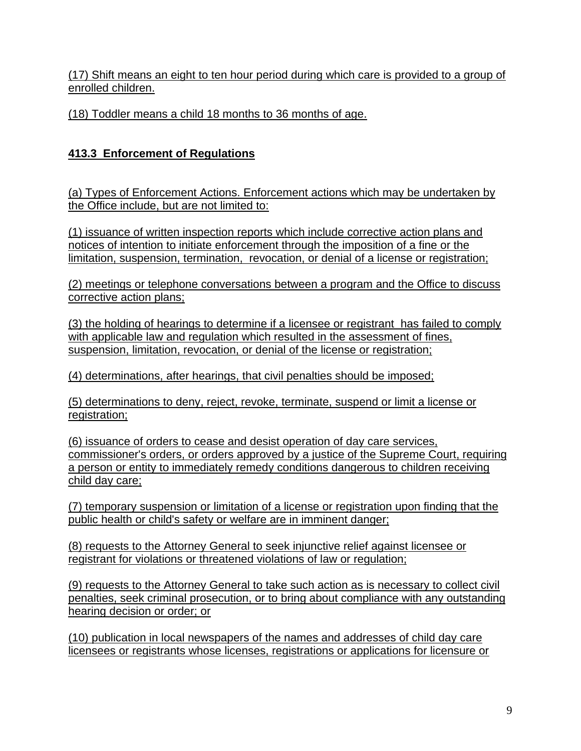(17) Shift means an eight to ten hour period during which care is provided to a group of enrolled children.

(18) Toddler means a child 18 months to 36 months of age.

# **413.3 Enforcement of Regulations**

(a) Types of Enforcement Actions. Enforcement actions which may be undertaken by the Office include, but are not limited to:

(1) issuance of written inspection reports which include corrective action plans and notices of intention to initiate enforcement through the imposition of a fine or the limitation, suspension, termination, revocation, or denial of a license or registration;

(2) meetings or telephone conversations between a program and the Office to discuss corrective action plans;

(3) the holding of hearings to determine if a licensee or registrant has failed to comply with applicable law and regulation which resulted in the assessment of fines, suspension, limitation, revocation, or denial of the license or registration;

(4) determinations, after hearings, that civil penalties should be imposed;

(5) determinations to deny, reject, revoke, terminate, suspend or limit a license or registration;

(6) issuance of orders to cease and desist operation of day care services, commissioner's orders, or orders approved by a justice of the Supreme Court, requiring a person or entity to immediately remedy conditions dangerous to children receiving child day care;

(7) temporary suspension or limitation of a license or registration upon finding that the public health or child's safety or welfare are in imminent danger;

(8) requests to the Attorney General to seek injunctive relief against licensee or registrant for violations or threatened violations of law or regulation;

(9) requests to the Attorney General to take such action as is necessary to collect civil penalties, seek criminal prosecution, or to bring about compliance with any outstanding hearing decision or order; or

(10) publication in local newspapers of the names and addresses of child day care licensees or registrants whose licenses, registrations or applications for licensure or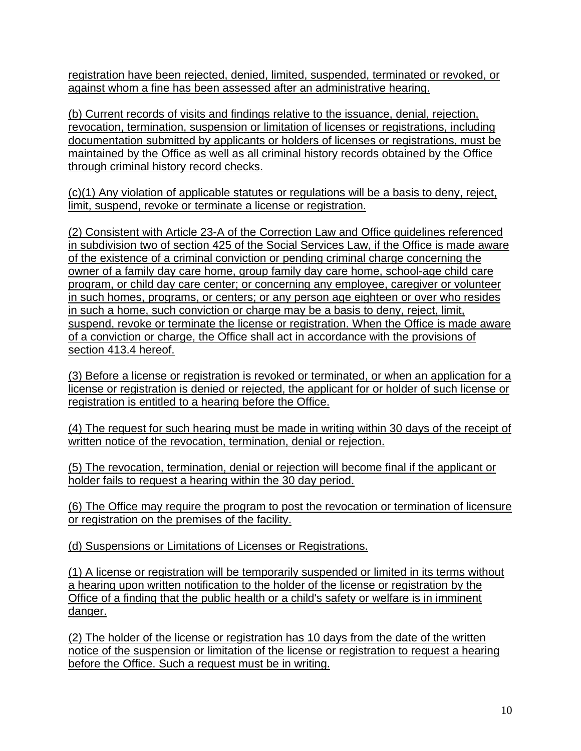registration have been rejected, denied, limited, suspended, terminated or revoked, or against whom a fine has been assessed after an administrative hearing.

(b) Current records of visits and findings relative to the issuance, denial, rejection, revocation, termination, suspension or limitation of licenses or registrations, including documentation submitted by applicants or holders of licenses or registrations, must be maintained by the Office as well as all criminal history records obtained by the Office through criminal history record checks.

(c)(1) Any violation of applicable statutes or regulations will be a basis to deny, reject, limit, suspend, revoke or terminate a license or registration.

(2) Consistent with Article 23-A of the Correction Law and Office guidelines referenced in subdivision two of section 425 of the Social Services Law, if the Office is made aware of the existence of a criminal conviction or pending criminal charge concerning the owner of a family day care home, group family day care home, school-age child care program, or child day care center; or concerning any employee, caregiver or volunteer in such homes, programs, or centers; or any person age eighteen or over who resides in such a home, such conviction or charge may be a basis to deny, reject, limit, suspend, revoke or terminate the license or registration. When the Office is made aware of a conviction or charge, the Office shall act in accordance with the provisions of section 413.4 hereof.

(3) Before a license or registration is revoked or terminated, or when an application for a license or registration is denied or rejected, the applicant for or holder of such license or registration is entitled to a hearing before the Office.

(4) The request for such hearing must be made in writing within 30 days of the receipt of written notice of the revocation, termination, denial or rejection.

(5) The revocation, termination, denial or rejection will become final if the applicant or holder fails to request a hearing within the 30 day period.

(6) The Office may require the program to post the revocation or termination of licensure or registration on the premises of the facility.

(d) Suspensions or Limitations of Licenses or Registrations.

(1) A license or registration will be temporarily suspended or limited in its terms without a hearing upon written notification to the holder of the license or registration by the Office of a finding that the public health or a child's safety or welfare is in imminent danger.

(2) The holder of the license or registration has 10 days from the date of the written notice of the suspension or limitation of the license or registration to request a hearing before the Office. Such a request must be in writing.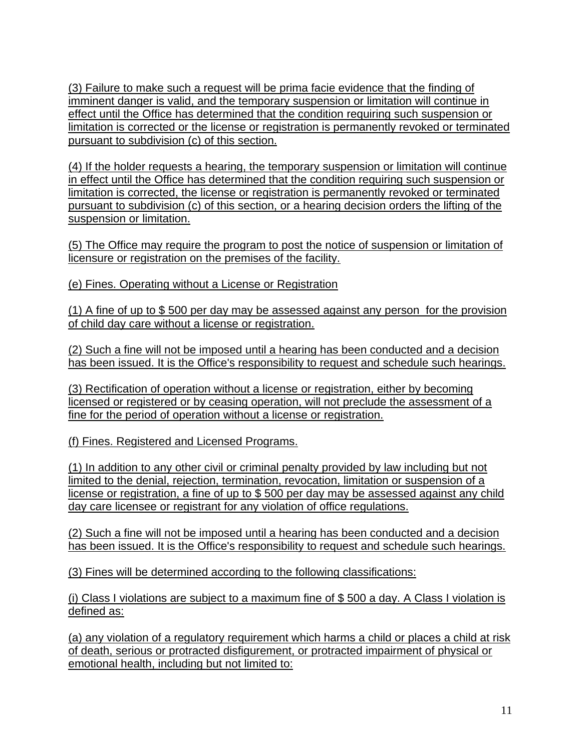(3) Failure to make such a request will be prima facie evidence that the finding of imminent danger is valid, and the temporary suspension or limitation will continue in effect until the Office has determined that the condition requiring such suspension or limitation is corrected or the license or registration is permanently revoked or terminated pursuant to subdivision (c) of this section.

(4) If the holder requests a hearing, the temporary suspension or limitation will continue in effect until the Office has determined that the condition requiring such suspension or limitation is corrected, the license or registration is permanently revoked or terminated pursuant to subdivision (c) of this section, or a hearing decision orders the lifting of the suspension or limitation.

(5) The Office may require the program to post the notice of suspension or limitation of licensure or registration on the premises of the facility.

(e) Fines. Operating without a License or Registration

(1) A fine of up to \$ 500 per day may be assessed against any person for the provision of child day care without a license or registration.

(2) Such a fine will not be imposed until a hearing has been conducted and a decision has been issued. It is the Office's responsibility to request and schedule such hearings.

(3) Rectification of operation without a license or registration, either by becoming licensed or registered or by ceasing operation, will not preclude the assessment of a fine for the period of operation without a license or registration.

(f) Fines. Registered and Licensed Programs.

(1) In addition to any other civil or criminal penalty provided by law including but not limited to the denial, rejection, termination, revocation, limitation or suspension of a license or registration, a fine of up to \$ 500 per day may be assessed against any child day care licensee or registrant for any violation of office regulations.

(2) Such a fine will not be imposed until a hearing has been conducted and a decision has been issued. It is the Office's responsibility to request and schedule such hearings.

(3) Fines will be determined according to the following classifications:

(i) Class I violations are subject to a maximum fine of \$ 500 a day. A Class I violation is defined as:

(a) any violation of a regulatory requirement which harms a child or places a child at risk of death, serious or protracted disfigurement, or protracted impairment of physical or emotional health, including but not limited to: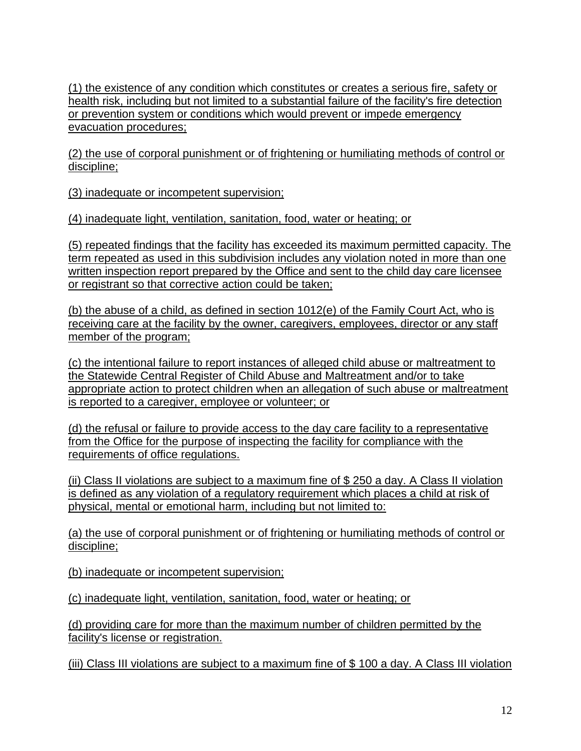(1) the existence of any condition which constitutes or creates a serious fire, safety or health risk, including but not limited to a substantial failure of the facility's fire detection or prevention system or conditions which would prevent or impede emergency evacuation procedures;

(2) the use of corporal punishment or of frightening or humiliating methods of control or discipline;

(3) inadequate or incompetent supervision;

(4) inadequate light, ventilation, sanitation, food, water or heating; or

(5) repeated findings that the facility has exceeded its maximum permitted capacity. The term repeated as used in this subdivision includes any violation noted in more than one written inspection report prepared by the Office and sent to the child day care licensee or registrant so that corrective action could be taken;

(b) the abuse of a child, as defined in section 1012(e) of the Family Court Act, who is receiving care at the facility by the owner, caregivers, employees, director or any staff member of the program;

(c) the intentional failure to report instances of alleged child abuse or maltreatment to the Statewide Central Register of Child Abuse and Maltreatment and/or to take appropriate action to protect children when an allegation of such abuse or maltreatment is reported to a caregiver, employee or volunteer; or

(d) the refusal or failure to provide access to the day care facility to a representative from the Office for the purpose of inspecting the facility for compliance with the requirements of office regulations.

(ii) Class II violations are subject to a maximum fine of \$ 250 a day. A Class II violation is defined as any violation of a regulatory requirement which places a child at risk of physical, mental or emotional harm, including but not limited to:

(a) the use of corporal punishment or of frightening or humiliating methods of control or discipline;

(b) inadequate or incompetent supervision;

(c) inadequate light, ventilation, sanitation, food, water or heating; or

(d) providing care for more than the maximum number of children permitted by the facility's license or registration.

(iii) Class III violations are subject to a maximum fine of \$ 100 a day. A Class III violation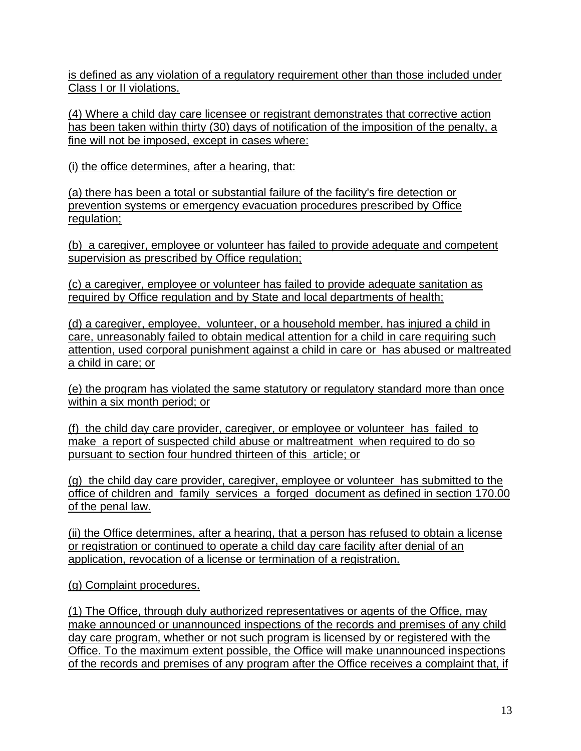is defined as any violation of a regulatory requirement other than those included under Class I or II violations.

(4) Where a child day care licensee or registrant demonstrates that corrective action has been taken within thirty (30) days of notification of the imposition of the penalty, a fine will not be imposed, except in cases where:

(i) the office determines, after a hearing, that:

(a) there has been a total or substantial failure of the facility's fire detection or prevention systems or emergency evacuation procedures prescribed by Office regulation;

(b) a caregiver, employee or volunteer has failed to provide adequate and competent supervision as prescribed by Office regulation;

(c) a caregiver, employee or volunteer has failed to provide adequate sanitation as required by Office regulation and by State and local departments of health;

(d) a caregiver, employee, volunteer, or a household member, has injured a child in care, unreasonably failed to obtain medical attention for a child in care requiring such attention, used corporal punishment against a child in care or has abused or maltreated a child in care; or

(e) the program has violated the same statutory or regulatory standard more than once within a six month period; or

(f) the child day care provider, caregiver, or employee or volunteer has failed to make a report of suspected child abuse or maltreatment when required to do so pursuant to section four hundred thirteen of this article; or

(g) the child day care provider, caregiver, employee or volunteer has submitted to the office of children and family services a forged document as defined in section 170.00 of the penal law.

(ii) the Office determines, after a hearing, that a person has refused to obtain a license or registration or continued to operate a child day care facility after denial of an application, revocation of a license or termination of a registration.

(g) Complaint procedures.

(1) The Office, through duly authorized representatives or agents of the Office, may make announced or unannounced inspections of the records and premises of any child day care program, whether or not such program is licensed by or registered with the Office. To the maximum extent possible, the Office will make unannounced inspections of the records and premises of any program after the Office receives a complaint that, if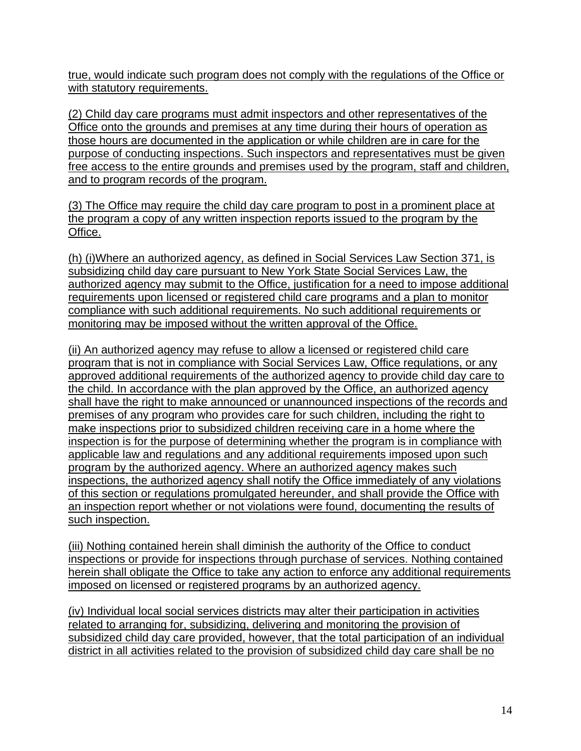true, would indicate such program does not comply with the regulations of the Office or with statutory requirements.

(2) Child day care programs must admit inspectors and other representatives of the Office onto the grounds and premises at any time during their hours of operation as those hours are documented in the application or while children are in care for the purpose of conducting inspections. Such inspectors and representatives must be given free access to the entire grounds and premises used by the program, staff and children, and to program records of the program.

(3) The Office may require the child day care program to post in a prominent place at the program a copy of any written inspection reports issued to the program by the Office.

(h) (i)Where an authorized agency, as defined in Social Services Law Section 371, is subsidizing child day care pursuant to New York State Social Services Law, the authorized agency may submit to the Office, justification for a need to impose additional requirements upon licensed or registered child care programs and a plan to monitor compliance with such additional requirements. No such additional requirements or monitoring may be imposed without the written approval of the Office.

(ii) An authorized agency may refuse to allow a licensed or registered child care program that is not in compliance with Social Services Law, Office regulations, or any approved additional requirements of the authorized agency to provide child day care to the child. In accordance with the plan approved by the Office, an authorized agency shall have the right to make announced or unannounced inspections of the records and premises of any program who provides care for such children, including the right to make inspections prior to subsidized children receiving care in a home where the inspection is for the purpose of determining whether the program is in compliance with applicable law and regulations and any additional requirements imposed upon such program by the authorized agency. Where an authorized agency makes such inspections, the authorized agency shall notify the Office immediately of any violations of this section or regulations promulgated hereunder, and shall provide the Office with an inspection report whether or not violations were found, documenting the results of such inspection.

(iii) Nothing contained herein shall diminish the authority of the Office to conduct inspections or provide for inspections through purchase of services. Nothing contained herein shall obligate the Office to take any action to enforce any additional requirements imposed on licensed or registered programs by an authorized agency.

(iv) Individual local social services districts may alter their participation in activities related to arranging for, subsidizing, delivering and monitoring the provision of subsidized child day care provided, however, that the total participation of an individual district in all activities related to the provision of subsidized child day care shall be no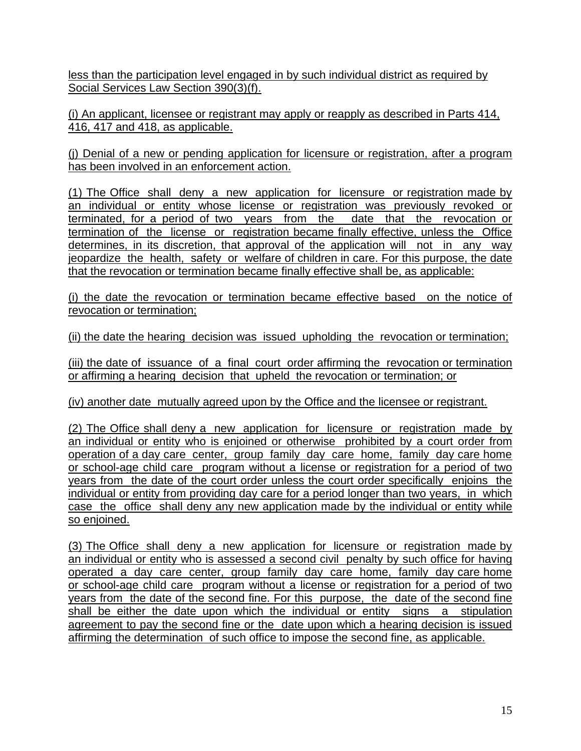less than the participation level engaged in by such individual district as required by Social Services Law Section 390(3)(f).

(i) An applicant, licensee or registrant may apply or reapply as described in Parts 414, 416, 417 and 418, as applicable.

(j) Denial of a new or pending application for licensure or registration, after a program has been involved in an enforcement action.

(1) The Office shall deny a new application for licensure or registration made by an individual or entity whose license or registration was previously revoked or terminated, for a period of two years from the date that the revocation or termination of the license or registration became finally effective, unless the Office determines, in its discretion, that approval of the application will not in any way jeopardize the health, safety or welfare of children in care. For this purpose, the date that the revocation or termination became finally effective shall be, as applicable:

(i) the date the revocation or termination became effective based on the notice of revocation or termination;

(ii) the date the hearing decision was issued upholding the revocation or termination;

(iii) the date of issuance of a final court order affirming the revocation or termination or affirming a hearing decision that upheld the revocation or termination; or

(iv) another date mutually agreed upon by the Office and the licensee or registrant.

(2) The Office shall deny a new application for licensure or registration made by an individual or entity who is enjoined or otherwise prohibited by a court order from operation of a day care center, group family day care home, family day care home or school-age child care program without a license or registration for a period of two years from the date of the court order unless the court order specifically enjoins the individual or entity from providing day care for a period longer than two years, in which case the office shall deny any new application made by the individual or entity while so enjoined.

(3) The Office shall deny a new application for licensure or registration made by an individual or entity who is assessed a second civil penalty by such office for having operated a day care center, group family day care home, family day care home or school-age child care program without a license or registration for a period of two years from the date of the second fine. For this purpose, the date of the second fine shall be either the date upon which the individual or entity signs a stipulation agreement to pay the second fine or the date upon which a hearing decision is issued affirming the determination of such office to impose the second fine, as applicable.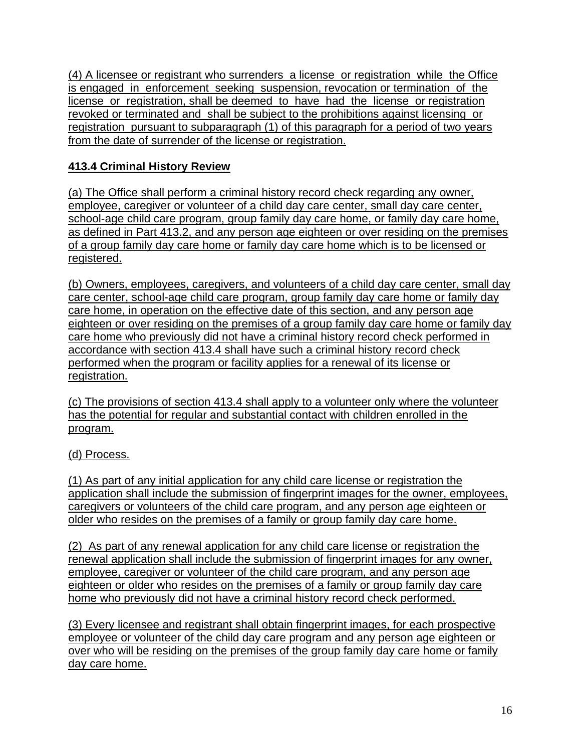(4) A licensee or registrant who surrenders a license or registration while the Office is engaged in enforcement seeking suspension, revocation or termination of the license or registration, shall be deemed to have had the license or registration revoked or terminated and shall be subject to the prohibitions against licensing or registration pursuant to subparagraph (1) of this paragraph for a period of two years from the date of surrender of the license or registration.

# **413.4 Criminal History Review**

(a) The Office shall perform a criminal history record check regarding any owner, employee, caregiver or volunteer of a child day care center, small day care center, school-age child care program, group family day care home, or family day care home, as defined in Part 413.2, and any person age eighteen or over residing on the premises of a group family day care home or family day care home which is to be licensed or registered.

(b) Owners, employees, caregivers, and volunteers of a child day care center, small day care center, school-age child care program, group family day care home or family day care home, in operation on the effective date of this section, and any person age eighteen or over residing on the premises of a group family day care home or family day care home who previously did not have a criminal history record check performed in accordance with section 413.4 shall have such a criminal history record check performed when the program or facility applies for a renewal of its license or registration.

(c) The provisions of section 413.4 shall apply to a volunteer only where the volunteer has the potential for regular and substantial contact with children enrolled in the program.

## (d) Process.

(1) As part of any initial application for any child care license or registration the application shall include the submission of fingerprint images for the owner, employees, caregivers or volunteers of the child care program, and any person age eighteen or older who resides on the premises of a family or group family day care home.

(2) As part of any renewal application for any child care license or registration the renewal application shall include the submission of fingerprint images for any owner, employee, caregiver or volunteer of the child care program, and any person age eighteen or older who resides on the premises of a family or group family day care home who previously did not have a criminal history record check performed.

(3) Every licensee and registrant shall obtain fingerprint images, for each prospective employee or volunteer of the child day care program and any person age eighteen or over who will be residing on the premises of the group family day care home or family day care home.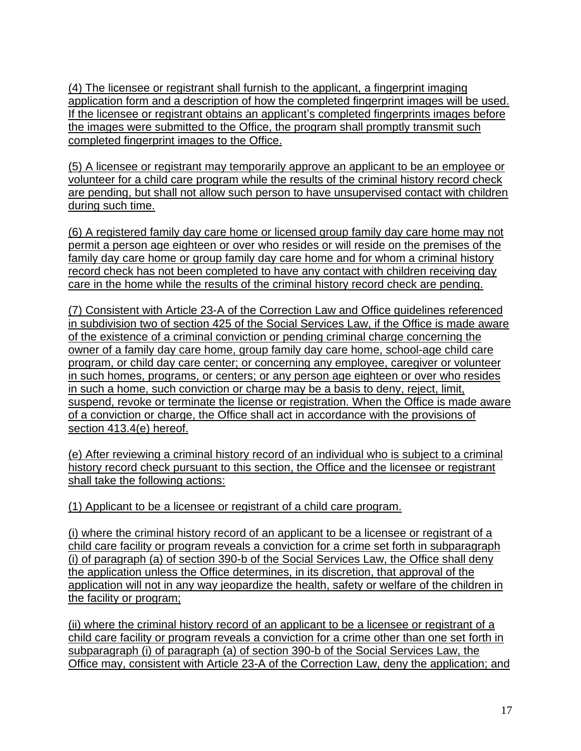(4) The licensee or registrant shall furnish to the applicant, a fingerprint imaging application form and a description of how the completed fingerprint images will be used. If the licensee or registrant obtains an applicant's completed fingerprints images before the images were submitted to the Office, the program shall promptly transmit such completed fingerprint images to the Office.

(5) A licensee or registrant may temporarily approve an applicant to be an employee or volunteer for a child care program while the results of the criminal history record check are pending, but shall not allow such person to have unsupervised contact with children during such time.

(6) A registered family day care home or licensed group family day care home may not permit a person age eighteen or over who resides or will reside on the premises of the family day care home or group family day care home and for whom a criminal history record check has not been completed to have any contact with children receiving day care in the home while the results of the criminal history record check are pending.

(7) Consistent with Article 23-A of the Correction Law and Office guidelines referenced in subdivision two of section 425 of the Social Services Law, if the Office is made aware of the existence of a criminal conviction or pending criminal charge concerning the owner of a family day care home, group family day care home, school-age child care program, or child day care center; or concerning any employee, caregiver or volunteer in such homes, programs, or centers; or any person age eighteen or over who resides in such a home, such conviction or charge may be a basis to deny, reject, limit, suspend, revoke or terminate the license or registration. When the Office is made aware of a conviction or charge, the Office shall act in accordance with the provisions of section 413.4(e) hereof.

(e) After reviewing a criminal history record of an individual who is subject to a criminal history record check pursuant to this section, the Office and the licensee or registrant shall take the following actions:

(1) Applicant to be a licensee or registrant of a child care program.

(i) where the criminal history record of an applicant to be a licensee or registrant of a child care facility or program reveals a conviction for a crime set forth in subparagraph (i) of paragraph (a) of section 390-b of the Social Services Law, the Office shall deny the application unless the Office determines, in its discretion, that approval of the application will not in any way jeopardize the health, safety or welfare of the children in the facility or program;

(ii) where the criminal history record of an applicant to be a licensee or registrant of a child care facility or program reveals a conviction for a crime other than one set forth in subparagraph (i) of paragraph (a) of section 390-b of the Social Services Law, the Office may, consistent with Article 23-A of the Correction Law, deny the application; and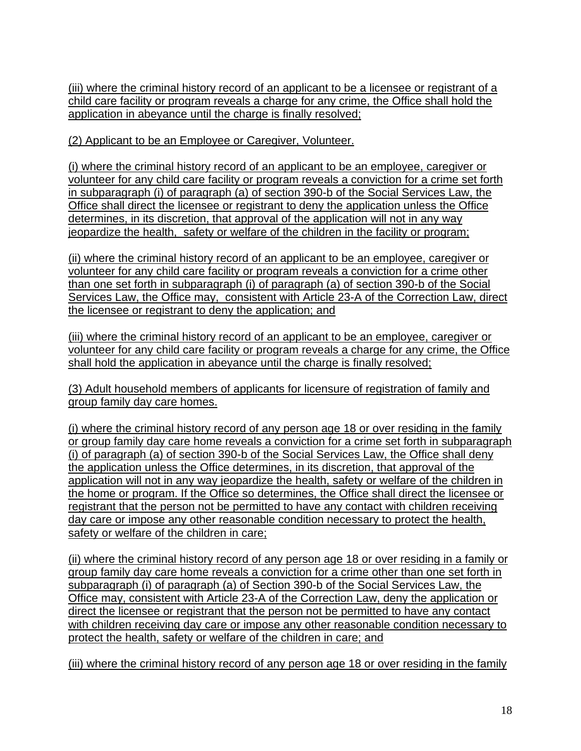(iii) where the criminal history record of an applicant to be a licensee or registrant of a child care facility or program reveals a charge for any crime, the Office shall hold the application in abeyance until the charge is finally resolved;

(2) Applicant to be an Employee or Caregiver, Volunteer.

(i) where the criminal history record of an applicant to be an employee, caregiver or volunteer for any child care facility or program reveals a conviction for a crime set forth in subparagraph (i) of paragraph (a) of section 390-b of the Social Services Law, the Office shall direct the licensee or registrant to deny the application unless the Office determines, in its discretion, that approval of the application will not in any way jeopardize the health, safety or welfare of the children in the facility or program;

(ii) where the criminal history record of an applicant to be an employee, caregiver or volunteer for any child care facility or program reveals a conviction for a crime other than one set forth in subparagraph (i) of paragraph (a) of section 390-b of the Social Services Law, the Office may, consistent with Article 23-A of the Correction Law, direct the licensee or registrant to deny the application; and

(iii) where the criminal history record of an applicant to be an employee, caregiver or volunteer for any child care facility or program reveals a charge for any crime, the Office shall hold the application in abeyance until the charge is finally resolved;

(3) Adult household members of applicants for licensure of registration of family and group family day care homes.

(i) where the criminal history record of any person age 18 or over residing in the family or group family day care home reveals a conviction for a crime set forth in subparagraph (i) of paragraph (a) of section 390-b of the Social Services Law, the Office shall deny the application unless the Office determines, in its discretion, that approval of the application will not in any way jeopardize the health, safety or welfare of the children in the home or program. If the Office so determines, the Office shall direct the licensee or registrant that the person not be permitted to have any contact with children receiving day care or impose any other reasonable condition necessary to protect the health, safety or welfare of the children in care;

(ii) where the criminal history record of any person age 18 or over residing in a family or group family day care home reveals a conviction for a crime other than one set forth in subparagraph (i) of paragraph (a) of Section 390-b of the Social Services Law, the Office may, consistent with Article 23-A of the Correction Law, deny the application or direct the licensee or registrant that the person not be permitted to have any contact with children receiving day care or impose any other reasonable condition necessary to protect the health, safety or welfare of the children in care; and

(iii) where the criminal history record of any person age 18 or over residing in the family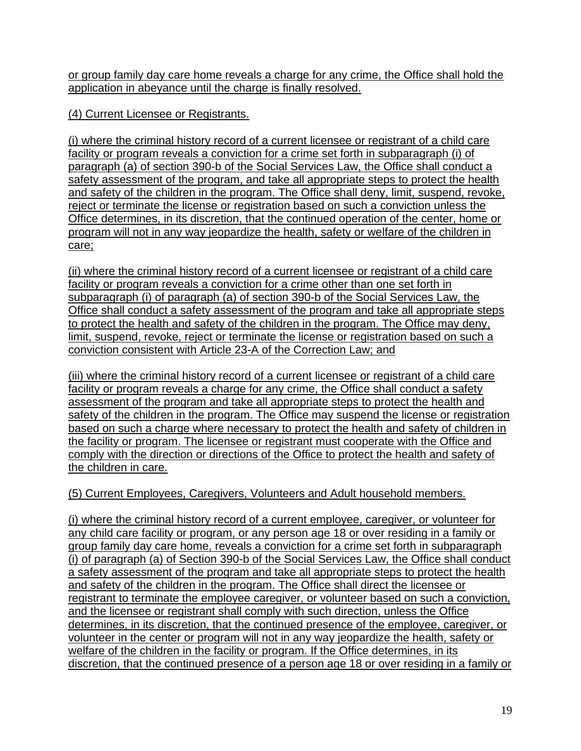or group family day care home reveals a charge for any crime, the Office shall hold the application in abeyance until the charge is finally resolved.

(4) Current Licensee or Registrants.

(i) where the criminal history record of a current licensee or registrant of a child care facility or program reveals a conviction for a crime set forth in subparagraph (i) of paragraph (a) of section 390-b of the Social Services Law, the Office shall conduct a safety assessment of the program, and take all appropriate steps to protect the health and safety of the children in the program. The Office shall deny, limit, suspend, revoke, reject or terminate the license or registration based on such a conviction unless the Office determines, in its discretion, that the continued operation of the center, home or program will not in any way jeopardize the health, safety or welfare of the children in care;

(ii) where the criminal history record of a current licensee or registrant of a child care facility or program reveals a conviction for a crime other than one set forth in subparagraph (i) of paragraph (a) of section 390-b of the Social Services Law, the Office shall conduct a safety assessment of the program and take all appropriate steps to protect the health and safety of the children in the program. The Office may deny, limit, suspend, revoke, reject or terminate the license or registration based on such a conviction consistent with Article 23-A of the Correction Law; and

(iii) where the criminal history record of a current licensee or registrant of a child care facility or program reveals a charge for any crime, the Office shall conduct a safety assessment of the program and take all appropriate steps to protect the health and safety of the children in the program. The Office may suspend the license or registration based on such a charge where necessary to protect the health and safety of children in the facility or program. The licensee or registrant must cooperate with the Office and comply with the direction or directions of the Office to protect the health and safety of the children in care.

(5) Current Employees, Caregivers, Volunteers and Adult household members.

(i) where the criminal history record of a current employee, caregiver, or volunteer for any child care facility or program, or any person age 18 or over residing in a family or group family day care home, reveals a conviction for a crime set forth in subparagraph (i) of paragraph (a) of Section 390-b of the Social Services Law, the Office shall conduct a safety assessment of the program and take all appropriate steps to protect the health and safety of the children in the program. The Office shall direct the licensee or registrant to terminate the employee caregiver, or volunteer based on such a conviction, and the licensee or registrant shall comply with such direction, unless the Office determines, in its discretion, that the continued presence of the employee, caregiver, or volunteer in the center or program will not in any way jeopardize the health, safety or welfare of the children in the facility or program. If the Office determines, in its discretion, that the continued presence of a person age 18 or over residing in a family or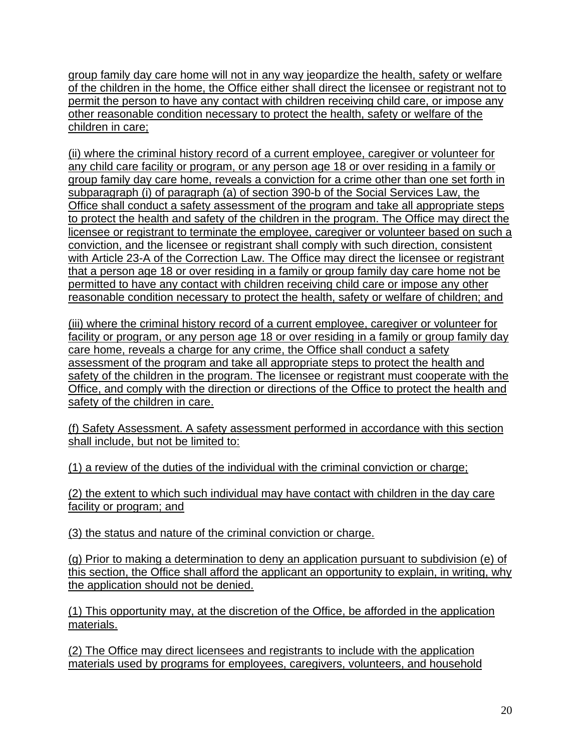group family day care home will not in any way jeopardize the health, safety or welfare of the children in the home, the Office either shall direct the licensee or registrant not to permit the person to have any contact with children receiving child care, or impose any other reasonable condition necessary to protect the health, safety or welfare of the children in care;

(ii) where the criminal history record of a current employee, caregiver or volunteer for any child care facility or program, or any person age 18 or over residing in a family or group family day care home, reveals a conviction for a crime other than one set forth in subparagraph (i) of paragraph (a) of section 390-b of the Social Services Law, the Office shall conduct a safety assessment of the program and take all appropriate steps to protect the health and safety of the children in the program. The Office may direct the licensee or registrant to terminate the employee, caregiver or volunteer based on such a conviction, and the licensee or registrant shall comply with such direction, consistent with Article 23-A of the Correction Law. The Office may direct the licensee or registrant that a person age 18 or over residing in a family or group family day care home not be permitted to have any contact with children receiving child care or impose any other reasonable condition necessary to protect the health, safety or welfare of children; and

(iii) where the criminal history record of a current employee, caregiver or volunteer for facility or program, or any person age 18 or over residing in a family or group family day care home, reveals a charge for any crime, the Office shall conduct a safety assessment of the program and take all appropriate steps to protect the health and safety of the children in the program. The licensee or registrant must cooperate with the Office, and comply with the direction or directions of the Office to protect the health and safety of the children in care.

(f) Safety Assessment. A safety assessment performed in accordance with this section shall include, but not be limited to:

(1) a review of the duties of the individual with the criminal conviction or charge;

(2) the extent to which such individual may have contact with children in the day care facility or program; and

(3) the status and nature of the criminal conviction or charge.

(g) Prior to making a determination to deny an application pursuant to subdivision (e) of this section, the Office shall afford the applicant an opportunity to explain, in writing, why the application should not be denied.

(1) This opportunity may, at the discretion of the Office, be afforded in the application materials.

(2) The Office may direct licensees and registrants to include with the application materials used by programs for employees, caregivers, volunteers, and household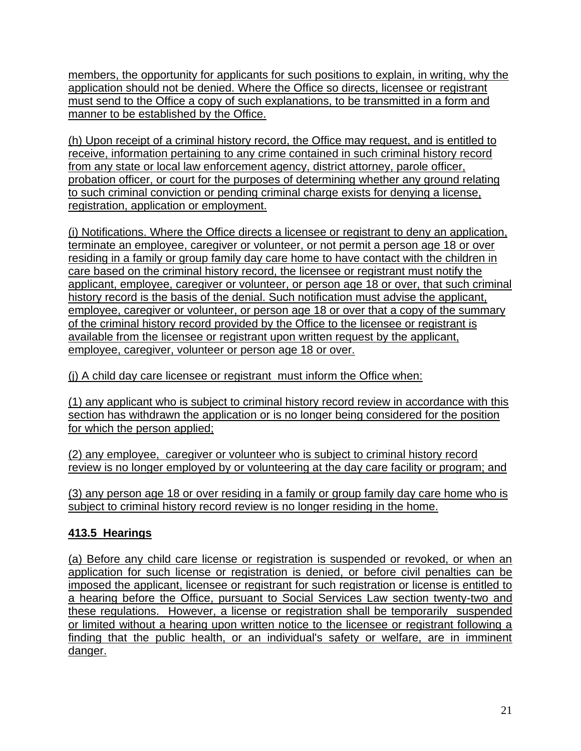members, the opportunity for applicants for such positions to explain, in writing, why the application should not be denied. Where the Office so directs, licensee or registrant must send to the Office a copy of such explanations, to be transmitted in a form and manner to be established by the Office.

(h) Upon receipt of a criminal history record, the Office may request, and is entitled to receive, information pertaining to any crime contained in such criminal history record from any state or local law enforcement agency, district attorney, parole officer, probation officer, or court for the purposes of determining whether any ground relating to such criminal conviction or pending criminal charge exists for denying a license, registration, application or employment.

(i) Notifications. Where the Office directs a licensee or registrant to deny an application, terminate an employee, caregiver or volunteer, or not permit a person age 18 or over residing in a family or group family day care home to have contact with the children in care based on the criminal history record, the licensee or registrant must notify the applicant, employee, caregiver or volunteer, or person age 18 or over, that such criminal history record is the basis of the denial. Such notification must advise the applicant, employee, caregiver or volunteer, or person age 18 or over that a copy of the summary of the criminal history record provided by the Office to the licensee or registrant is available from the licensee or registrant upon written request by the applicant, employee, caregiver, volunteer or person age 18 or over.

(j) A child day care licensee or registrant must inform the Office when:

(1) any applicant who is subject to criminal history record review in accordance with this section has withdrawn the application or is no longer being considered for the position for which the person applied;

(2) any employee, caregiver or volunteer who is subject to criminal history record review is no longer employed by or volunteering at the day care facility or program; and

(3) any person age 18 or over residing in a family or group family day care home who is subject to criminal history record review is no longer residing in the home.

## **413.5 Hearings**

(a) Before any child care license or registration is suspended or revoked, or when an application for such license or registration is denied, or before civil penalties can be imposed the applicant, licensee or registrant for such registration or license is entitled to a hearing before the Office, pursuant to Social Services Law section twenty-two and these regulations. However, a license or registration shall be temporarily suspended or limited without a hearing upon written notice to the licensee or registrant following a finding that the public health, or an individual's safety or welfare, are in imminent danger.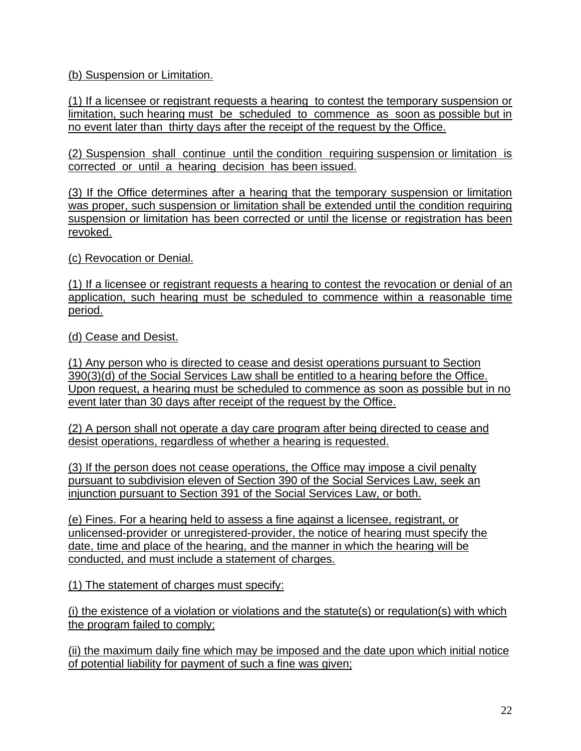(b) Suspension or Limitation.

(1) If a licensee or registrant requests a hearing to contest the temporary suspension or limitation, such hearing must be scheduled to commence as soon as possible but in no event later than thirty days after the receipt of the request by the Office.

(2) Suspension shall continue until the condition requiring suspension or limitation is corrected or until a hearing decision has been issued.

(3) If the Office determines after a hearing that the temporary suspension or limitation was proper, such suspension or limitation shall be extended until the condition requiring suspension or limitation has been corrected or until the license or registration has been revoked.

(c) Revocation or Denial.

(1) If a licensee or registrant requests a hearing to contest the revocation or denial of an application, such hearing must be scheduled to commence within a reasonable time period.

(d) Cease and Desist.

(1) Any person who is directed to cease and desist operations pursuant to Section 390(3)(d) of the Social Services Law shall be entitled to a hearing before the Office. Upon request, a hearing must be scheduled to commence as soon as possible but in no event later than 30 days after receipt of the request by the Office.

(2) A person shall not operate a day care program after being directed to cease and desist operations, regardless of whether a hearing is requested.

(3) If the person does not cease operations, the Office may impose a civil penalty pursuant to subdivision eleven of Section 390 of the Social Services Law, seek an injunction pursuant to Section 391 of the Social Services Law, or both.

(e) Fines. For a hearing held to assess a fine against a licensee, registrant, or unlicensed-provider or unregistered-provider, the notice of hearing must specify the date, time and place of the hearing, and the manner in which the hearing will be conducted, and must include a statement of charges.

(1) The statement of charges must specify:

(i) the existence of a violation or violations and the statute(s) or regulation(s) with which the program failed to comply;

(ii) the maximum daily fine which may be imposed and the date upon which initial notice of potential liability for payment of such a fine was given;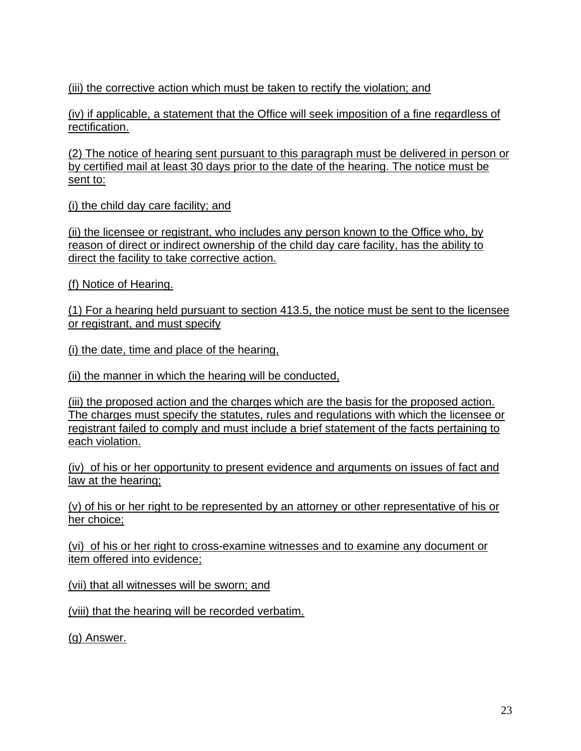(iii) the corrective action which must be taken to rectify the violation; and

(iv) if applicable, a statement that the Office will seek imposition of a fine regardless of rectification.

(2) The notice of hearing sent pursuant to this paragraph must be delivered in person or by certified mail at least 30 days prior to the date of the hearing. The notice must be sent to:

(i) the child day care facility; and

(ii) the licensee or registrant, who includes any person known to the Office who, by reason of direct or indirect ownership of the child day care facility, has the ability to direct the facility to take corrective action.

(f) Notice of Hearing.

(1) For a hearing held pursuant to section 413.5, the notice must be sent to the licensee or registrant, and must specify

(i) the date, time and place of the hearing,

(ii) the manner in which the hearing will be conducted,

(iii) the proposed action and the charges which are the basis for the proposed action. The charges must specify the statutes, rules and regulations with which the licensee or registrant failed to comply and must include a brief statement of the facts pertaining to each violation.

(iv) of his or her opportunity to present evidence and arguments on issues of fact and law at the hearing;

(v) of his or her right to be represented by an attorney or other representative of his or her choice;

(vi) of his or her right to cross-examine witnesses and to examine any document or item offered into evidence;

(vii) that all witnesses will be sworn; and

(viii) that the hearing will be recorded verbatim.

(g) Answer.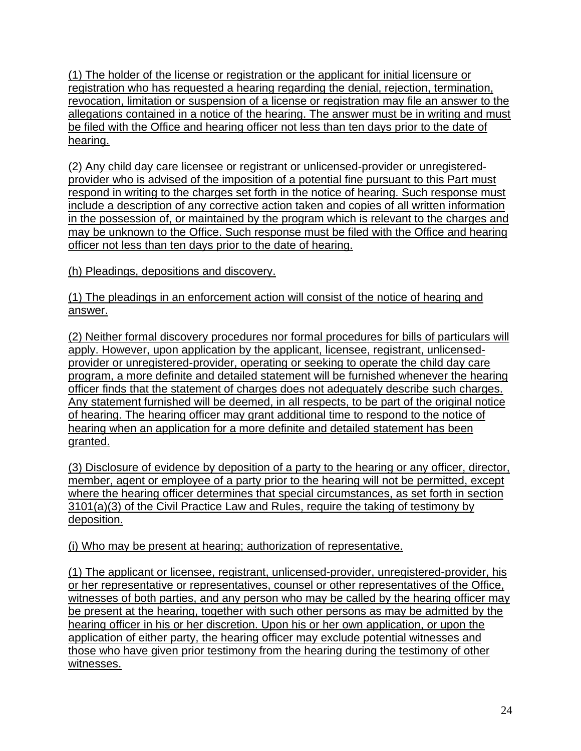(1) The holder of the license or registration or the applicant for initial licensure or registration who has requested a hearing regarding the denial, rejection, termination, revocation, limitation or suspension of a license or registration may file an answer to the allegations contained in a notice of the hearing. The answer must be in writing and must be filed with the Office and hearing officer not less than ten days prior to the date of hearing.

(2) Any child day care licensee or registrant or unlicensed-provider or unregisteredprovider who is advised of the imposition of a potential fine pursuant to this Part must respond in writing to the charges set forth in the notice of hearing. Such response must include a description of any corrective action taken and copies of all written information in the possession of, or maintained by the program which is relevant to the charges and may be unknown to the Office. Such response must be filed with the Office and hearing officer not less than ten days prior to the date of hearing.

(h) Pleadings, depositions and discovery.

(1) The pleadings in an enforcement action will consist of the notice of hearing and answer.

(2) Neither formal discovery procedures nor formal procedures for bills of particulars will apply. However, upon application by the applicant, licensee, registrant, unlicensedprovider or unregistered-provider, operating or seeking to operate the child day care program, a more definite and detailed statement will be furnished whenever the hearing officer finds that the statement of charges does not adequately describe such charges. Any statement furnished will be deemed, in all respects, to be part of the original notice of hearing. The hearing officer may grant additional time to respond to the notice of hearing when an application for a more definite and detailed statement has been granted.

(3) Disclosure of evidence by deposition of a party to the hearing or any officer, director, member, agent or employee of a party prior to the hearing will not be permitted, except where the hearing officer determines that special circumstances, as set forth in section 3101(a)(3) of the Civil Practice Law and Rules, require the taking of testimony by deposition.

(i) Who may be present at hearing; authorization of representative.

(1) The applicant or licensee, registrant, unlicensed-provider, unregistered-provider, his or her representative or representatives, counsel or other representatives of the Office, witnesses of both parties, and any person who may be called by the hearing officer may be present at the hearing, together with such other persons as may be admitted by the hearing officer in his or her discretion. Upon his or her own application, or upon the application of either party, the hearing officer may exclude potential witnesses and those who have given prior testimony from the hearing during the testimony of other witnesses.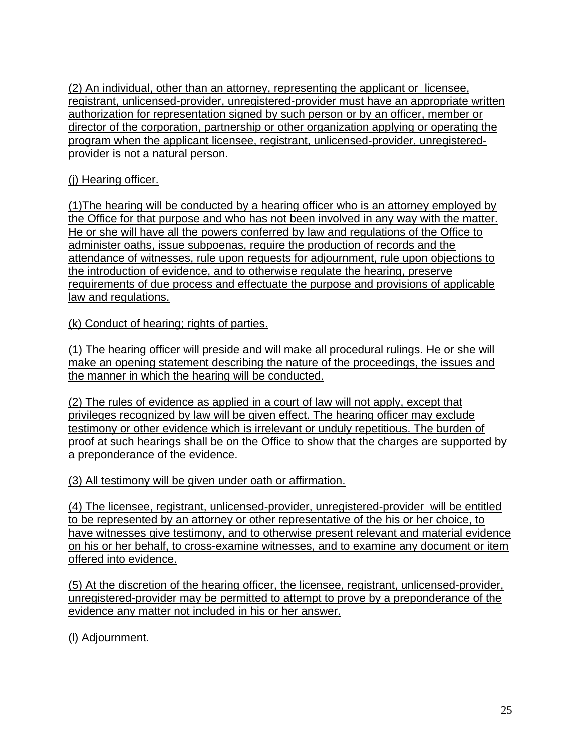(2) An individual, other than an attorney, representing the applicant or licensee, registrant, unlicensed-provider, unregistered-provider must have an appropriate written authorization for representation signed by such person or by an officer, member or director of the corporation, partnership or other organization applying or operating the program when the applicant licensee, registrant, unlicensed-provider, unregisteredprovider is not a natural person.

### (j) Hearing officer.

(1)The hearing will be conducted by a hearing officer who is an attorney employed by the Office for that purpose and who has not been involved in any way with the matter. He or she will have all the powers conferred by law and regulations of the Office to administer oaths, issue subpoenas, require the production of records and the attendance of witnesses, rule upon requests for adjournment, rule upon objections to the introduction of evidence, and to otherwise regulate the hearing, preserve requirements of due process and effectuate the purpose and provisions of applicable law and regulations.

(k) Conduct of hearing; rights of parties.

(1) The hearing officer will preside and will make all procedural rulings. He or she will make an opening statement describing the nature of the proceedings, the issues and the manner in which the hearing will be conducted.

(2) The rules of evidence as applied in a court of law will not apply, except that privileges recognized by law will be given effect. The hearing officer may exclude testimony or other evidence which is irrelevant or unduly repetitious. The burden of proof at such hearings shall be on the Office to show that the charges are supported by a preponderance of the evidence.

(3) All testimony will be given under oath or affirmation.

(4) The licensee, registrant, unlicensed-provider, unregistered-provider will be entitled to be represented by an attorney or other representative of the his or her choice, to have witnesses give testimony, and to otherwise present relevant and material evidence on his or her behalf, to cross-examine witnesses, and to examine any document or item offered into evidence.

(5) At the discretion of the hearing officer, the licensee, registrant, unlicensed-provider, unregistered-provider may be permitted to attempt to prove by a preponderance of the evidence any matter not included in his or her answer.

(l) Adjournment.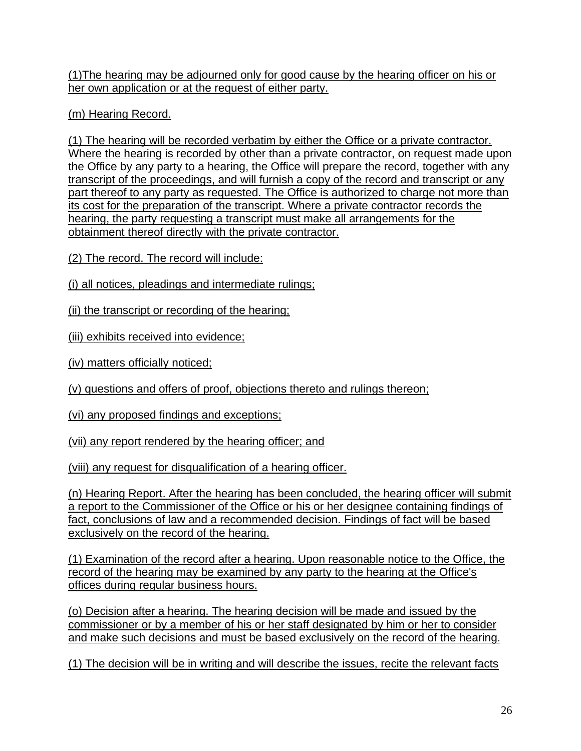(1)The hearing may be adjourned only for good cause by the hearing officer on his or her own application or at the request of either party.

(m) Hearing Record.

(1) The hearing will be recorded verbatim by either the Office or a private contractor. Where the hearing is recorded by other than a private contractor, on request made upon the Office by any party to a hearing, the Office will prepare the record, together with any transcript of the proceedings, and will furnish a copy of the record and transcript or any part thereof to any party as requested. The Office is authorized to charge not more than its cost for the preparation of the transcript. Where a private contractor records the hearing, the party requesting a transcript must make all arrangements for the obtainment thereof directly with the private contractor.

(2) The record. The record will include:

(i) all notices, pleadings and intermediate rulings;

(ii) the transcript or recording of the hearing;

(iii) exhibits received into evidence;

(iv) matters officially noticed;

(v) questions and offers of proof, objections thereto and rulings thereon;

(vi) any proposed findings and exceptions;

(vii) any report rendered by the hearing officer; and

(viii) any request for disqualification of a hearing officer.

(n) Hearing Report. After the hearing has been concluded, the hearing officer will submit a report to the Commissioner of the Office or his or her designee containing findings of fact, conclusions of law and a recommended decision. Findings of fact will be based exclusively on the record of the hearing.

(1) Examination of the record after a hearing. Upon reasonable notice to the Office, the record of the hearing may be examined by any party to the hearing at the Office's offices during regular business hours.

(o) Decision after a hearing. The hearing decision will be made and issued by the commissioner or by a member of his or her staff designated by him or her to consider and make such decisions and must be based exclusively on the record of the hearing.

(1) The decision will be in writing and will describe the issues, recite the relevant facts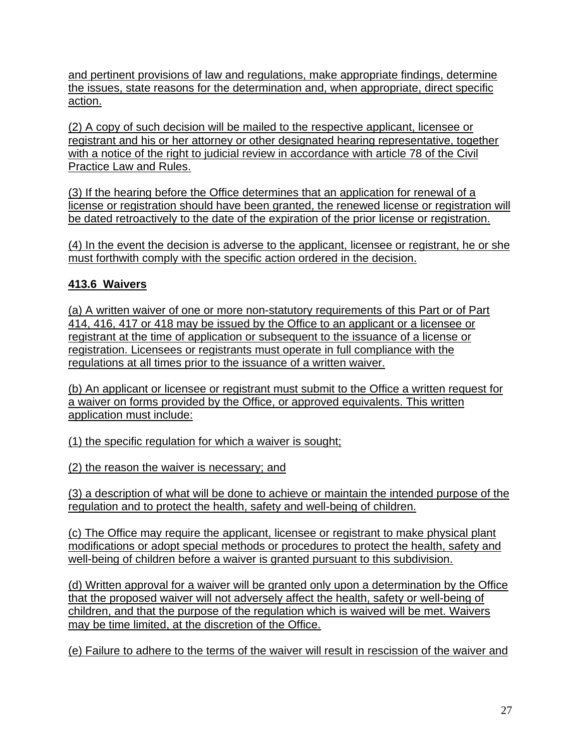and pertinent provisions of law and regulations, make appropriate findings, determine the issues, state reasons for the determination and, when appropriate, direct specific action.

(2) A copy of such decision will be mailed to the respective applicant, licensee or registrant and his or her attorney or other designated hearing representative, together with a notice of the right to judicial review in accordance with article 78 of the Civil Practice Law and Rules.

(3) If the hearing before the Office determines that an application for renewal of a license or registration should have been granted, the renewed license or registration will be dated retroactively to the date of the expiration of the prior license or registration.

(4) In the event the decision is adverse to the applicant, licensee or registrant, he or she must forthwith comply with the specific action ordered in the decision.

# **413.6 Waivers**

(a) A written waiver of one or more non-statutory requirements of this Part or of Part 414, 416, 417 or 418 may be issued by the Office to an applicant or a licensee or registrant at the time of application or subsequent to the issuance of a license or registration. Licensees or registrants must operate in full compliance with the regulations at all times prior to the issuance of a written waiver.

(b) An applicant or licensee or registrant must submit to the Office a written request for a waiver on forms provided by the Office, or approved equivalents. This written application must include:

(1) the specific regulation for which a waiver is sought;

(2) the reason the waiver is necessary; and

(3) a description of what will be done to achieve or maintain the intended purpose of the regulation and to protect the health, safety and well-being of children.

(c) The Office may require the applicant, licensee or registrant to make physical plant modifications or adopt special methods or procedures to protect the health, safety and well-being of children before a waiver is granted pursuant to this subdivision.

(d) Written approval for a waiver will be granted only upon a determination by the Office that the proposed waiver will not adversely affect the health, safety or well-being of children, and that the purpose of the regulation which is waived will be met. Waivers may be time limited, at the discretion of the Office.

(e) Failure to adhere to the terms of the waiver will result in rescission of the waiver and